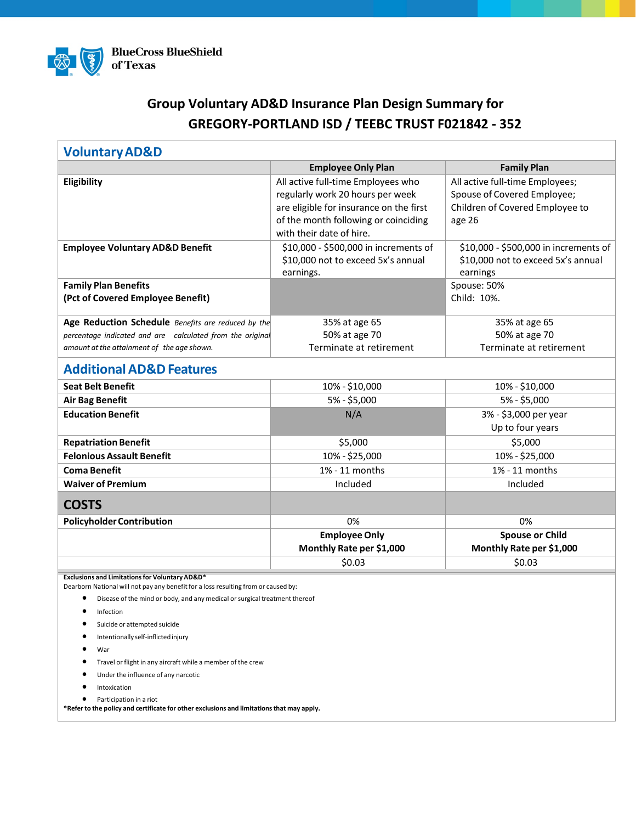

# **Group Voluntary AD&D Insurance Plan Design Summary for GREGORY-PORTLAND ISD / TEEBC TRUST F021842 - 352**

| <b>Voluntary AD&amp;D</b>                                                                                                            |                                         |                                       |
|--------------------------------------------------------------------------------------------------------------------------------------|-----------------------------------------|---------------------------------------|
|                                                                                                                                      | <b>Employee Only Plan</b>               | <b>Family Plan</b>                    |
| Eligibility                                                                                                                          | All active full-time Employees who      | All active full-time Employees;       |
|                                                                                                                                      | regularly work 20 hours per week        | Spouse of Covered Employee;           |
|                                                                                                                                      | are eligible for insurance on the first | Children of Covered Employee to       |
|                                                                                                                                      | of the month following or coinciding    | age 26                                |
|                                                                                                                                      | with their date of hire.                |                                       |
| <b>Employee Voluntary AD&amp;D Benefit</b>                                                                                           | \$10,000 - \$500,000 in increments of   | \$10,000 - \$500,000 in increments of |
|                                                                                                                                      | \$10,000 not to exceed 5x's annual      | \$10,000 not to exceed 5x's annual    |
|                                                                                                                                      | earnings.                               | earnings                              |
| <b>Family Plan Benefits</b>                                                                                                          |                                         | Spouse: 50%                           |
| (Pct of Covered Employee Benefit)                                                                                                    |                                         | Child: 10%.                           |
| Age Reduction Schedule Benefits are reduced by the                                                                                   | 35% at age 65                           | 35% at age 65                         |
| percentage indicated and are calculated from the original                                                                            | 50% at age 70                           | 50% at age 70                         |
| amount at the attainment of the age shown.                                                                                           | Terminate at retirement                 | Terminate at retirement               |
| <b>Additional AD&amp;D Features</b>                                                                                                  |                                         |                                       |
| <b>Seat Belt Benefit</b>                                                                                                             | 10% - \$10,000                          | 10% - \$10,000                        |
| <b>Air Bag Benefit</b>                                                                                                               | 5% - \$5,000                            | 5% - \$5,000                          |
| <b>Education Benefit</b>                                                                                                             | N/A                                     | 3% - \$3,000 per year                 |
|                                                                                                                                      |                                         | Up to four years                      |
| <b>Repatriation Benefit</b>                                                                                                          | \$5,000                                 | \$5,000                               |
| <b>Felonious Assault Benefit</b>                                                                                                     | 10% - \$25,000                          | 10% - \$25,000                        |
| <b>Coma Benefit</b>                                                                                                                  | 1% - 11 months                          | 1% - 11 months                        |
| <b>Waiver of Premium</b>                                                                                                             | Included                                | Included                              |
|                                                                                                                                      |                                         |                                       |
| <b>COSTS</b>                                                                                                                         |                                         |                                       |
| <b>Policyholder Contribution</b>                                                                                                     | 0%                                      | 0%                                    |
|                                                                                                                                      | <b>Employee Only</b>                    | <b>Spouse or Child</b>                |
|                                                                                                                                      | Monthly Rate per \$1,000                | Monthly Rate per \$1,000              |
|                                                                                                                                      | \$0.03                                  | \$0.03                                |
| Exclusions and Limitations for Voluntary AD&D*<br>Dearborn National will not pay any benefit for a loss resulting from or caused by: |                                         |                                       |
| $\bullet$<br>Disease of the mind or body, and any medical or surgical treatment thereof                                              |                                         |                                       |
| Infection                                                                                                                            |                                         |                                       |
| Suicide or attempted suicide                                                                                                         |                                         |                                       |
| Intentionally self-inflicted injury                                                                                                  |                                         |                                       |
| War                                                                                                                                  |                                         |                                       |

- Travel or flight in any aircraft while a member of the crew
- Under the influence of any narcotic
- Intoxication
- Participation in a riot

**\*Refer to the policy and certificate for other exclusions and limitationsthat may apply.**